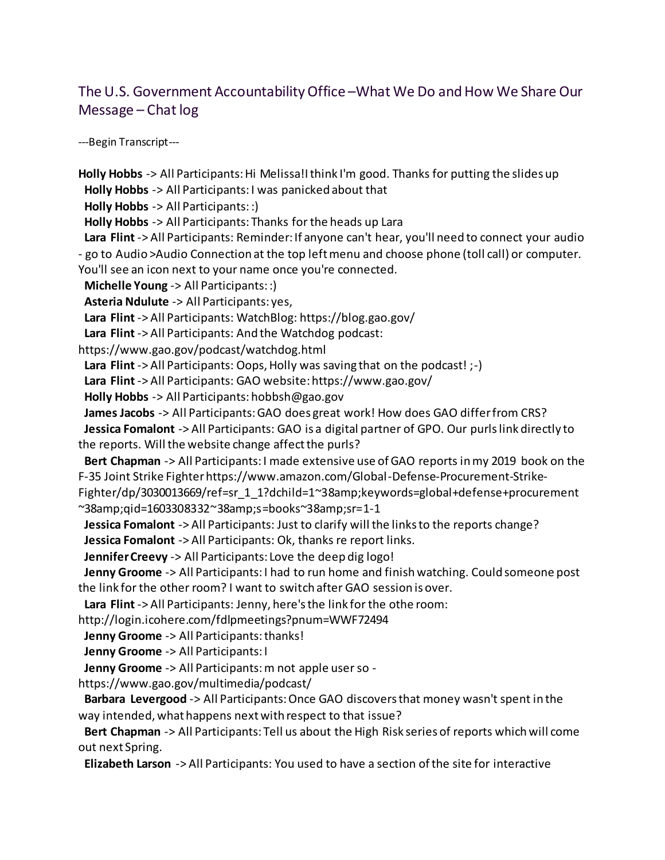## The U.S. Government Accountability Office – What We Do and How We Share Our Message – Chat log

---Begin Transcript---

**Holly Hobbs** -> All Participants: Hi Melissa!I think I'm good. Thanks for putting the slides up **Holly Hobbs** -> All Participants: I was panicked about that **Holly Hobbs** -> All Participants: :) **Holly Hobbs** -> All Participants: Thanks for the heads up Lara **Lara Flint** -> All Participants: Reminder: If anyone can't hear, you'll need to connect your audio - go to Audio >Audio Connection at the top left menu and choose phone (toll call) or computer. You'll see an icon next to your name once you're connected. **Michelle Young** -> All Participants: :) **Asteria Ndulute** -> All Participants: yes, **Lara Flint** -> All Participants: WatchBlog: https://blog.gao.gov/ **Lara Flint** -> All Participants: And the Watchdog podcast: https://www.gao.gov/podcast/watchdog.html **Lara Flint** -> All Participants: Oops, Holly was saving that on the podcast! ;-) **Lara Flint** -> All Participants: GAO website: https://www.gao.gov/ **Holly Hobbs** -> All Participants: hobbsh@gao.gov **James Jacobs** -> All Participants: GAO does great work! How does GAO differ from CRS? **Jessica Fomalont** -> All Participants: GAO is a digital partner of GPO. Our purls link directly to the reports. Will the website change affect the purls? **Bert Chapman** -> All Participants: I made extensive use of GAO reports in my 2019 book on the F-35 Joint Strike Fighter https://www.amazon.com/Global-Defense-Procurement-Strike-Fighter/dp/3030013669/ref=sr\_1\_1?dchild=1~38amp;keywords=global+defense+procurement ~38amp;qid=1603308332~38amp;s=books~38amp;sr=1-1 **Jessica Fomalont** -> All Participants: Just to clarify will the links to the reports change? **Jessica Fomalont** -> All Participants: Ok, thanks re report links. **Jennifer Creevy** -> All Participants: Love the deep dig logo! **Jenny Groome** -> All Participants: I had to run home and finish watching. Could someone post the link for the other room? I want to switch after GAO session is over. **Lara Flint** -> All Participants: Jenny, here's the link for the othe room: http://login.icohere.com/fdlpmeetings?pnum=WWF72494 **Jenny Groome** -> All Participants: thanks! **Jenny Groome** -> All Participants: I **Jenny Groome** -> All Participants: m not apple user so https://www.gao.gov/multimedia/podcast/ **Barbara Levergood** -> All Participants: Once GAO discovers that money wasn't spent in the way intended, what happens next with respect to that issue? **Bert Chapman** -> All Participants: Tell us about the High Risk series of reports which will come out next Spring. **Elizabeth Larson** -> All Participants: You used to have a section of the site for interactive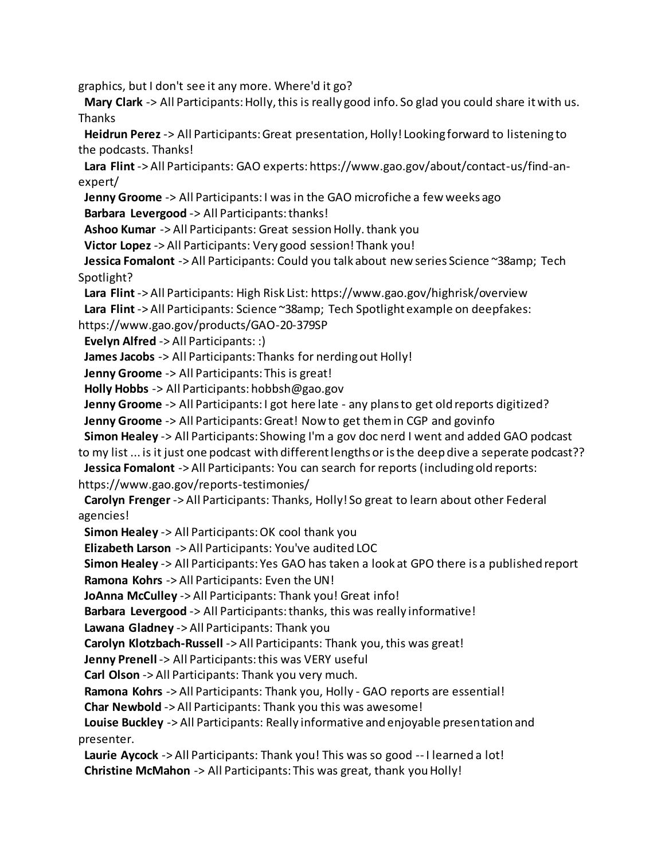graphics, but I don't see it any more. Where'd it go?

 **Mary Clark** -> All Participants: Holly, this is really good info. So glad you could share it with us. Thanks

 **Heidrun Perez** -> All Participants: Great presentation, Holly! Looking forward to listening to the podcasts. Thanks!

 **Lara Flint** -> All Participants: GAO experts: https://www.gao.gov/about/contact-us/find-anexpert/

 **Jenny Groome** -> All Participants: I was in the GAO microfiche a few weeks ago **Barbara Levergood** -> All Participants: thanks!

**Ashoo Kumar** -> All Participants: Great session Holly. thank you

**Victor Lopez** -> All Participants: Very good session! Thank you!

 **Jessica Fomalont** -> All Participants: Could you talk about new series Science ~38amp; Tech Spotlight?

**Lara Flint** -> All Participants: High Risk List: https://www.gao.gov/highrisk/overview

**Lara Flint** -> All Participants: Science ~38amp; Tech Spotlight example on deepfakes:

https://www.gao.gov/products/GAO-20-379SP

**Evelyn Alfred** -> All Participants: :)

**James Jacobs** -> All Participants: Thanks for nerding out Holly!

**Jenny Groome** -> All Participants: This is great!

**Holly Hobbs** -> All Participants: hobbsh@gao.gov

**Jenny Groome** -> All Participants: I got here late - any plans to get old reports digitized?

**Jenny Groome** -> All Participants: Great! Now to get them in CGP and govinfo

**Simon Healey** -> All Participants: Showing I'm a gov doc nerd I went and added GAO podcast

to my list ... is it just one podcast with different lengths or is the deep dive a seperate podcast?? **Jessica Fomalont** -> All Participants: You can search for reports (including old reports:

https://www.gao.gov/reports-testimonies/

 **Carolyn Frenger** -> All Participants: Thanks, Holly! So great to learn about other Federal agencies!

**Simon Healey** -> All Participants: OK cool thank you

**Elizabeth Larson** -> All Participants: You've audited LOC

**Simon Healey** -> All Participants: Yes GAO has taken a look at GPO there is a published report

**Ramona Kohrs** -> All Participants: Even the UN!

**JoAnna McCulley** -> All Participants: Thank you! Great info!

**Barbara Levergood** -> All Participants: thanks, this was really informative!

**Lawana Gladney** -> All Participants: Thank you

**Carolyn Klotzbach-Russell** -> All Participants: Thank you, this was great!

**Jenny Prenell** -> All Participants: this was VERY useful

**Carl Olson** -> All Participants: Thank you very much.

**Ramona Kohrs** -> All Participants: Thank you, Holly - GAO reports are essential!

**Char Newbold** -> All Participants: Thank you this was awesome!

 **Louise Buckley** -> All Participants: Really informative and enjoyable presentation and presenter.

 **Laurie Aycock** -> All Participants: Thank you! This was so good -- I learned a lot! **Christine McMahon** -> All Participants: This was great, thank you Holly!